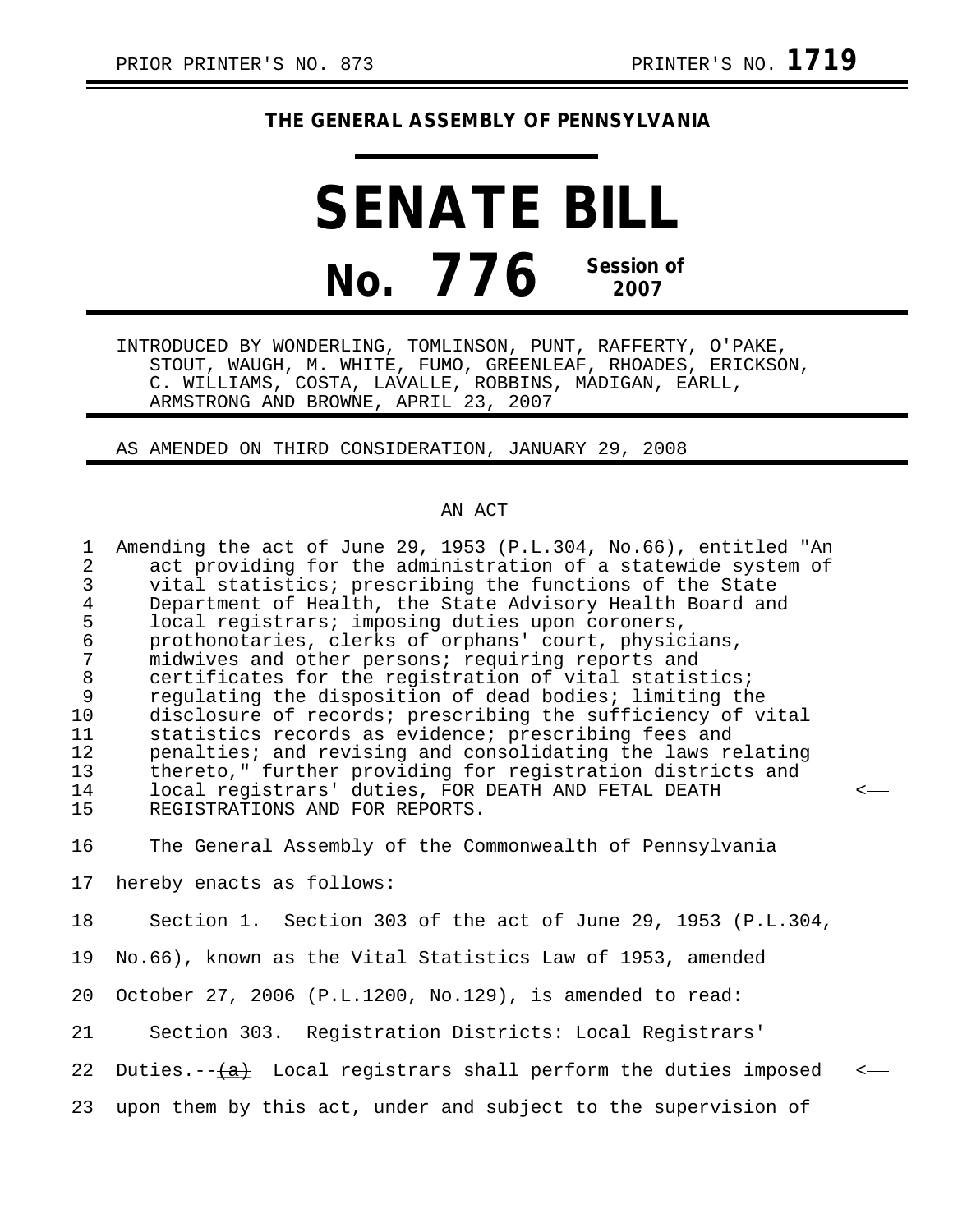## **THE GENERAL ASSEMBLY OF PENNSYLVANIA**

**SENATE BILL No. 776 Session of 2007**

INTRODUCED BY WONDERLING, TOMLINSON, PUNT, RAFFERTY, O'PAKE, STOUT, WAUGH, M. WHITE, FUMO, GREENLEAF, RHOADES, ERICKSON, C. WILLIAMS, COSTA, LAVALLE, ROBBINS, MADIGAN, EARLL, ARMSTRONG AND BROWNE, APRIL 23, 2007

AS AMENDED ON THIRD CONSIDERATION, JANUARY 29, 2008

## AN ACT

| $\mathbf 1$<br>$\overline{a}$<br>$\mathsf{3}$<br>$\overline{4}$<br>5<br>$\frac{6}{7}$<br>$\, 8$<br>9<br>10<br>11<br>12<br>13<br>14<br>15 | Amending the act of June 29, 1953 (P.L.304, No.66), entitled "An<br>act providing for the administration of a statewide system of<br>vital statistics; prescribing the functions of the State<br>Department of Health, the State Advisory Health Board and<br>local registrars; imposing duties upon coroners,<br>prothonotaries, clerks of orphans' court, physicians,<br>midwives and other persons; requiring reports and<br>certificates for the registration of vital statistics;<br>regulating the disposition of dead bodies; limiting the<br>disclosure of records; prescribing the sufficiency of vital<br>statistics records as evidence; prescribing fees and<br>penalties; and revising and consolidating the laws relating<br>thereto," further providing for registration districts and<br>local registrars' duties, FOR DEATH AND FETAL DEATH<br>REGISTRATIONS AND FOR REPORTS. |  |
|------------------------------------------------------------------------------------------------------------------------------------------|------------------------------------------------------------------------------------------------------------------------------------------------------------------------------------------------------------------------------------------------------------------------------------------------------------------------------------------------------------------------------------------------------------------------------------------------------------------------------------------------------------------------------------------------------------------------------------------------------------------------------------------------------------------------------------------------------------------------------------------------------------------------------------------------------------------------------------------------------------------------------------------------|--|
| 16                                                                                                                                       | The General Assembly of the Commonwealth of Pennsylvania                                                                                                                                                                                                                                                                                                                                                                                                                                                                                                                                                                                                                                                                                                                                                                                                                                       |  |
| 17                                                                                                                                       | hereby enacts as follows:                                                                                                                                                                                                                                                                                                                                                                                                                                                                                                                                                                                                                                                                                                                                                                                                                                                                      |  |
| 18                                                                                                                                       | Section 1. Section 303 of the act of June 29, 1953 (P.L.304,                                                                                                                                                                                                                                                                                                                                                                                                                                                                                                                                                                                                                                                                                                                                                                                                                                   |  |
| 19                                                                                                                                       | No.66), known as the Vital Statistics Law of 1953, amended                                                                                                                                                                                                                                                                                                                                                                                                                                                                                                                                                                                                                                                                                                                                                                                                                                     |  |
| 20                                                                                                                                       | October 27, 2006 (P.L.1200, No.129), is amended to read:                                                                                                                                                                                                                                                                                                                                                                                                                                                                                                                                                                                                                                                                                                                                                                                                                                       |  |
| 21                                                                                                                                       | Section 303. Registration Districts: Local Registrars'                                                                                                                                                                                                                                                                                                                                                                                                                                                                                                                                                                                                                                                                                                                                                                                                                                         |  |
|                                                                                                                                          |                                                                                                                                                                                                                                                                                                                                                                                                                                                                                                                                                                                                                                                                                                                                                                                                                                                                                                |  |

22 Duties. $-\frac{a}{a}$  Local registrars shall perform the duties imposed  $\leftarrow$ 

23 upon them by this act, under and subject to the supervision of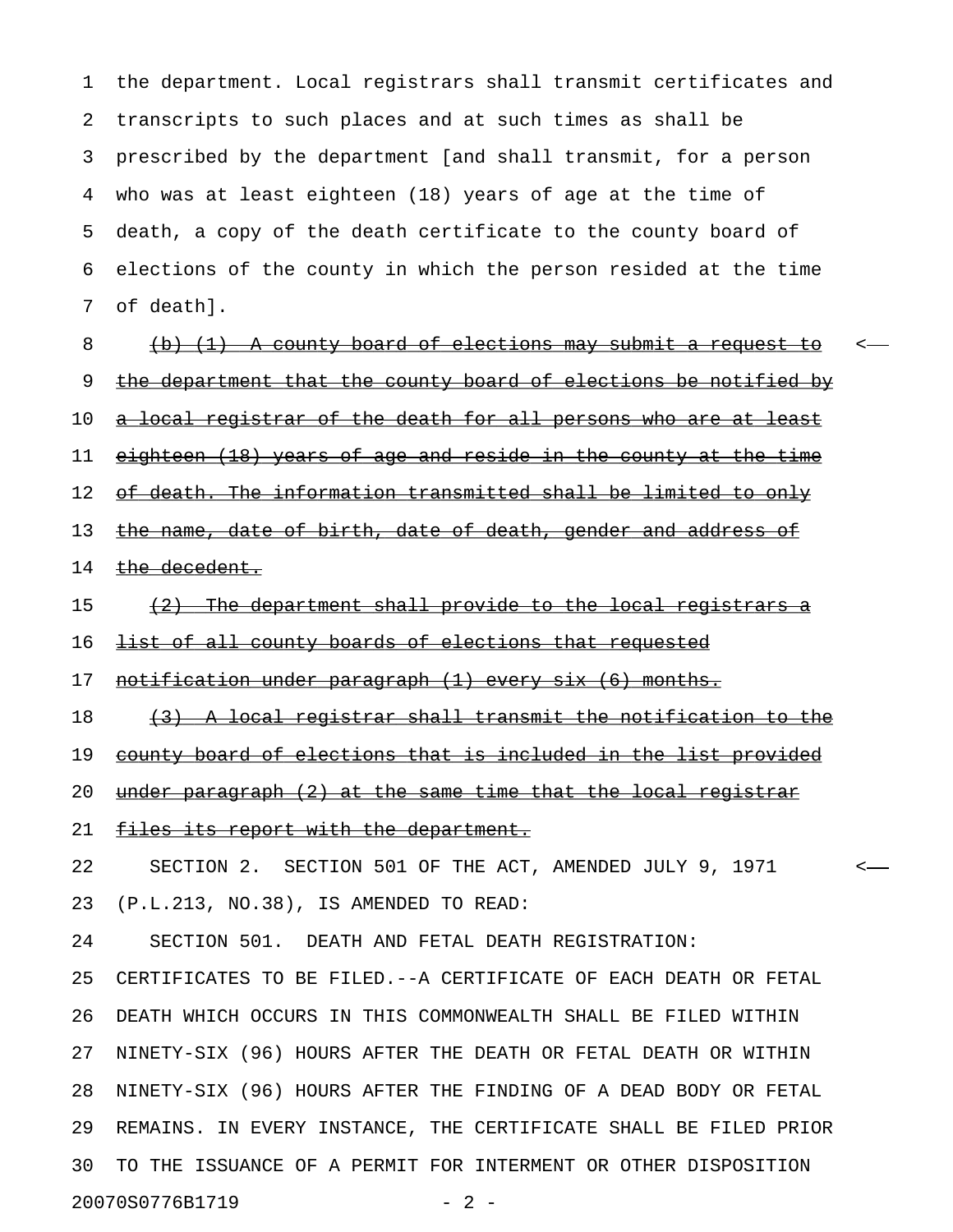1 the department. Local registrars shall transmit certificates and 2 transcripts to such places and at such times as shall be 3 prescribed by the department [and shall transmit, for a person 4 who was at least eighteen (18) years of age at the time of 5 death, a copy of the death certificate to the county board of 6 elections of the county in which the person resided at the time 7 of death].

8 (b) (1) A county board of elections may submit a request to 9 the department that the county board of elections be notified by 10 <u>a local registrar of the death for all persons who are at least</u> 11 eighteen (18) years of age and reside in the county at the time 12 of death. The information transmitted shall be limited to only 13 the name, date of birth, date of death, gender and address of 14 the decedent.

15 (2) The department shall provide to the local registrars a

16 <del>list of all county boards of elections that requested</del>

17 notification under paragraph (1) every six (6) months.

18 (3) A local registrar shall transmit the notification to the

19 county board of elections that is included in the list provided

20 under paragraph  $(2)$  at the same time that the local registrar

21 files its report with the department.

22 SECTION 2. SECTION 501 OF THE ACT, AMENDED JULY 9, 1971 <

23 (P.L.213, NO.38), IS AMENDED TO READ:

24 SECTION 501. DEATH AND FETAL DEATH REGISTRATION:

25 CERTIFICATES TO BE FILED.--A CERTIFICATE OF EACH DEATH OR FETAL 26 DEATH WHICH OCCURS IN THIS COMMONWEALTH SHALL BE FILED WITHIN 27 NINETY-SIX (96) HOURS AFTER THE DEATH OR FETAL DEATH OR WITHIN 28 NINETY-SIX (96) HOURS AFTER THE FINDING OF A DEAD BODY OR FETAL 29 REMAINS. IN EVERY INSTANCE, THE CERTIFICATE SHALL BE FILED PRIOR 30 TO THE ISSUANCE OF A PERMIT FOR INTERMENT OR OTHER DISPOSITION 20070S0776B1719 - 2 -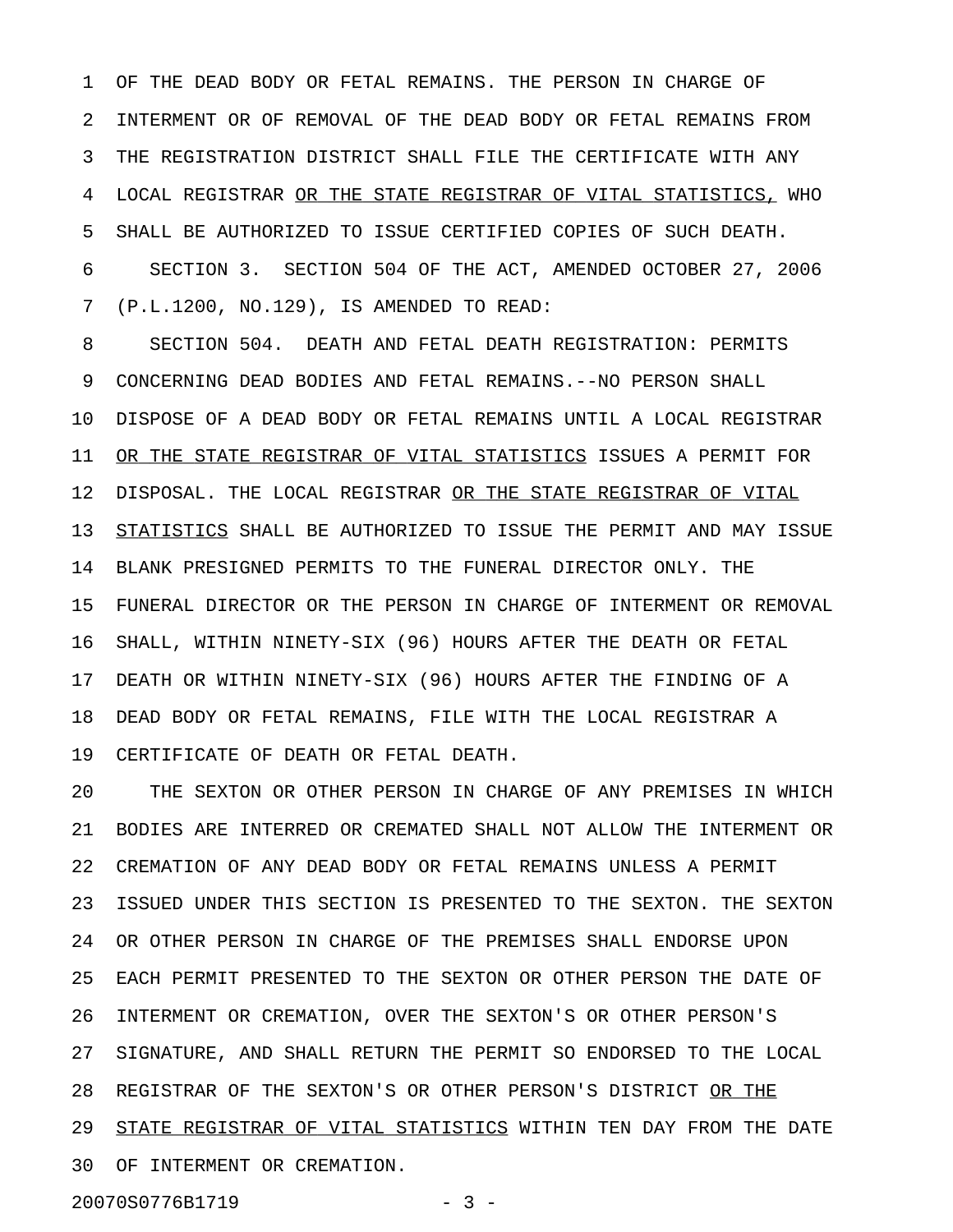1 OF THE DEAD BODY OR FETAL REMAINS. THE PERSON IN CHARGE OF 2 INTERMENT OR OF REMOVAL OF THE DEAD BODY OR FETAL REMAINS FROM 3 THE REGISTRATION DISTRICT SHALL FILE THE CERTIFICATE WITH ANY 4 LOCAL REGISTRAR OR THE STATE REGISTRAR OF VITAL STATISTICS, WHO 5 SHALL BE AUTHORIZED TO ISSUE CERTIFIED COPIES OF SUCH DEATH. 6 SECTION 3. SECTION 504 OF THE ACT, AMENDED OCTOBER 27, 2006 7 (P.L.1200, NO.129), IS AMENDED TO READ:

8 SECTION 504. DEATH AND FETAL DEATH REGISTRATION: PERMITS 9 CONCERNING DEAD BODIES AND FETAL REMAINS.--NO PERSON SHALL 10 DISPOSE OF A DEAD BODY OR FETAL REMAINS UNTIL A LOCAL REGISTRAR 11 OR THE STATE REGISTRAR OF VITAL STATISTICS ISSUES A PERMIT FOR 12 DISPOSAL. THE LOCAL REGISTRAR OR THE STATE REGISTRAR OF VITAL 13 STATISTICS SHALL BE AUTHORIZED TO ISSUE THE PERMIT AND MAY ISSUE 14 BLANK PRESIGNED PERMITS TO THE FUNERAL DIRECTOR ONLY. THE 15 FUNERAL DIRECTOR OR THE PERSON IN CHARGE OF INTERMENT OR REMOVAL 16 SHALL, WITHIN NINETY-SIX (96) HOURS AFTER THE DEATH OR FETAL 17 DEATH OR WITHIN NINETY-SIX (96) HOURS AFTER THE FINDING OF A 18 DEAD BODY OR FETAL REMAINS, FILE WITH THE LOCAL REGISTRAR A 19 CERTIFICATE OF DEATH OR FETAL DEATH.

20 THE SEXTON OR OTHER PERSON IN CHARGE OF ANY PREMISES IN WHICH 21 BODIES ARE INTERRED OR CREMATED SHALL NOT ALLOW THE INTERMENT OR 22 CREMATION OF ANY DEAD BODY OR FETAL REMAINS UNLESS A PERMIT 23 ISSUED UNDER THIS SECTION IS PRESENTED TO THE SEXTON. THE SEXTON 24 OR OTHER PERSON IN CHARGE OF THE PREMISES SHALL ENDORSE UPON 25 EACH PERMIT PRESENTED TO THE SEXTON OR OTHER PERSON THE DATE OF 26 INTERMENT OR CREMATION, OVER THE SEXTON'S OR OTHER PERSON'S 27 SIGNATURE, AND SHALL RETURN THE PERMIT SO ENDORSED TO THE LOCAL 28 REGISTRAR OF THE SEXTON'S OR OTHER PERSON'S DISTRICT OR THE 29 STATE REGISTRAR OF VITAL STATISTICS WITHIN TEN DAY FROM THE DATE 30 OF INTERMENT OR CREMATION.

20070S0776B1719 - 3 -